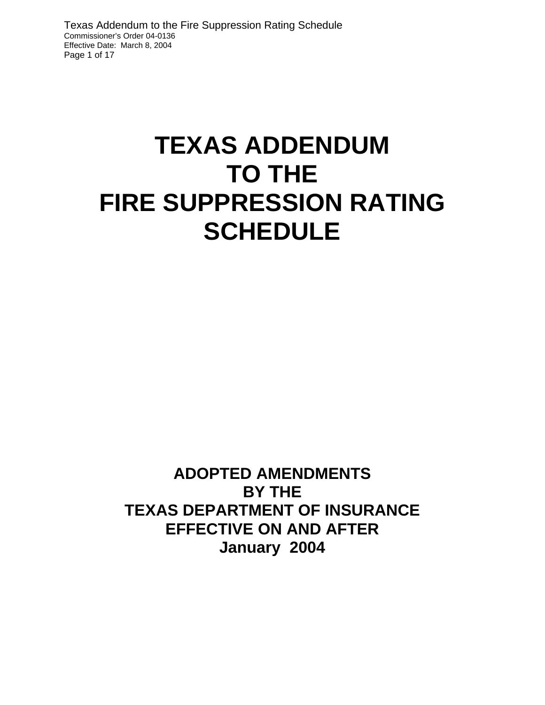Texas Addendum to the Fire Suppression Rating Schedule Commissioner's Order 04-0136 Effective Date: March 8, 2004 Page 1 of 17

# **TEXAS ADDENDUM TO THE FIRE SUPPRESSION RATING SCHEDULE**

**ADOPTED AMENDMENTS BY THE TEXAS DEPARTMENT OF INSURANCE EFFECTIVE ON AND AFTER January 2004**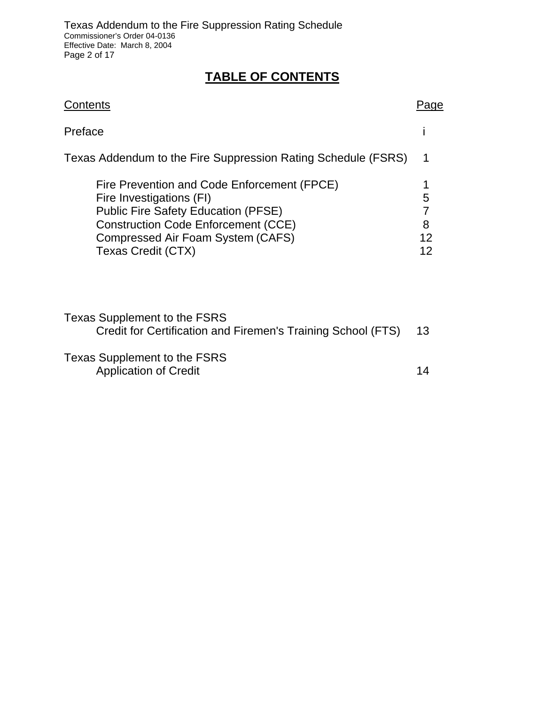# **TABLE OF CONTENTS**

| Contents                                                                                                                                                                                                                       |                    |  |  |
|--------------------------------------------------------------------------------------------------------------------------------------------------------------------------------------------------------------------------------|--------------------|--|--|
| Preface                                                                                                                                                                                                                        |                    |  |  |
| Texas Addendum to the Fire Suppression Rating Schedule (FSRS)                                                                                                                                                                  |                    |  |  |
| Fire Prevention and Code Enforcement (FPCE)<br>Fire Investigations (FI)<br><b>Public Fire Safety Education (PFSE)</b><br><b>Construction Code Enforcement (CCE)</b><br>Compressed Air Foam System (CAFS)<br>Texas Credit (CTX) | 5<br>8<br>12<br>12 |  |  |

| Texas Supplement to the FSRS                                 |  |
|--------------------------------------------------------------|--|
| Credit for Certification and Firemen's Training School (FTS) |  |
|                                                              |  |

Texas Supplement to the FSRS Application of Credit 14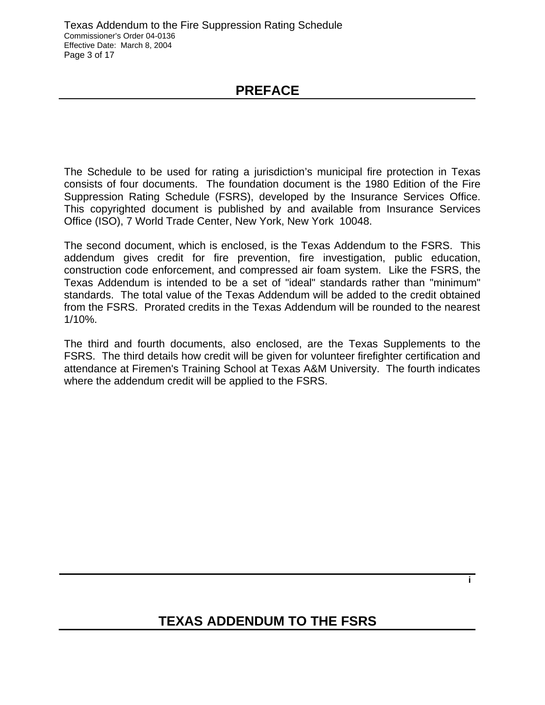## **PREFACE**

Suppression Rating Schedule (FSRS), developed by the Insurance Services Office. The Schedule to be used for rating a jurisdiction's municipal fire protection in Texas consists of four documents. The foundation document is the 1980 Edition of the Fire This copyrighted document is published by and available from Insurance Services Office (ISO), 7 World Trade Center, New York, New York 10048.

The second document, which is enclosed, is the Texas Addendum to the FSRS. This addendum gives credit for fire prevention, fire investigation, public education, construction code enforcement, and compressed air foam system. Like the FSRS, the Texas Addendum is intended to be a set of "ideal" standards rather than "minimum" standards. The total value of the Texas Addendum will be added to the credit obtained from the FSRS. Prorated credits in the Texas Addendum will be rounded to the nearest 1/10%.

The third and fourth documents, also enclosed, are the Texas Supplements to the FSRS. The third details how credit will be given for volunteer firefighter certification and attendance at Firemen's Training School at Texas A&M University. The fourth indicates where the addendum credit will be applied to the FSRS.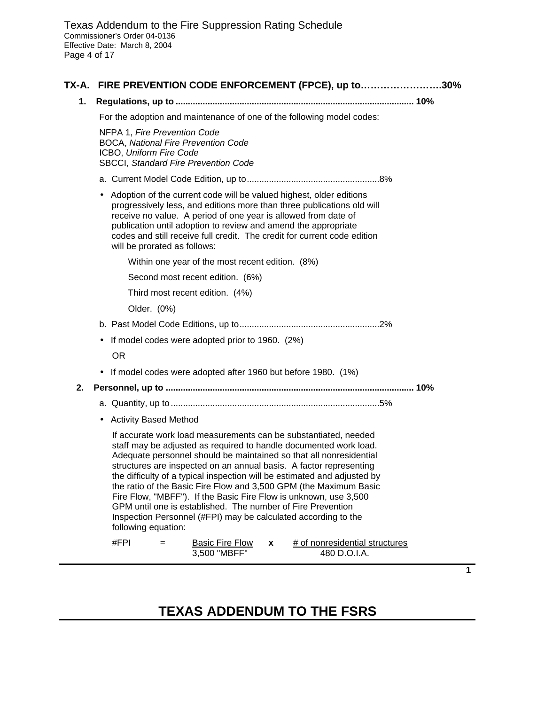|    | TX-A. FIRE PREVENTION CODE ENFORCEMENT (FPCE), up to30%                                                                                                                                                                                                                                                                                                                                                                                                                                                                                                                                                                                                       |
|----|---------------------------------------------------------------------------------------------------------------------------------------------------------------------------------------------------------------------------------------------------------------------------------------------------------------------------------------------------------------------------------------------------------------------------------------------------------------------------------------------------------------------------------------------------------------------------------------------------------------------------------------------------------------|
| 1. |                                                                                                                                                                                                                                                                                                                                                                                                                                                                                                                                                                                                                                                               |
|    | For the adoption and maintenance of one of the following model codes:                                                                                                                                                                                                                                                                                                                                                                                                                                                                                                                                                                                         |
|    | NFPA 1, Fire Prevention Code<br><b>BOCA, National Fire Prevention Code</b><br>ICBO, Uniform Fire Code<br><b>SBCCI, Standard Fire Prevention Code</b>                                                                                                                                                                                                                                                                                                                                                                                                                                                                                                          |
|    |                                                                                                                                                                                                                                                                                                                                                                                                                                                                                                                                                                                                                                                               |
|    | • Adoption of the current code will be valued highest, older editions<br>progressively less, and editions more than three publications old will<br>receive no value. A period of one year is allowed from date of<br>publication until adoption to review and amend the appropriate<br>codes and still receive full credit. The credit for current code edition<br>will be prorated as follows:                                                                                                                                                                                                                                                               |
|    | Within one year of the most recent edition. (8%)                                                                                                                                                                                                                                                                                                                                                                                                                                                                                                                                                                                                              |
|    | Second most recent edition. (6%)                                                                                                                                                                                                                                                                                                                                                                                                                                                                                                                                                                                                                              |
|    | Third most recent edition. (4%)                                                                                                                                                                                                                                                                                                                                                                                                                                                                                                                                                                                                                               |
|    | Older. (0%)                                                                                                                                                                                                                                                                                                                                                                                                                                                                                                                                                                                                                                                   |
|    |                                                                                                                                                                                                                                                                                                                                                                                                                                                                                                                                                                                                                                                               |
|    | If model codes were adopted prior to 1960. (2%)<br>$\bullet$                                                                                                                                                                                                                                                                                                                                                                                                                                                                                                                                                                                                  |
|    | <b>OR</b>                                                                                                                                                                                                                                                                                                                                                                                                                                                                                                                                                                                                                                                     |
|    | If model codes were adopted after 1960 but before 1980. (1%)                                                                                                                                                                                                                                                                                                                                                                                                                                                                                                                                                                                                  |
| 2. |                                                                                                                                                                                                                                                                                                                                                                                                                                                                                                                                                                                                                                                               |
|    |                                                                                                                                                                                                                                                                                                                                                                                                                                                                                                                                                                                                                                                               |
|    | • Activity Based Method                                                                                                                                                                                                                                                                                                                                                                                                                                                                                                                                                                                                                                       |
|    | If accurate work load measurements can be substantiated, needed<br>staff may be adjusted as required to handle documented work load.<br>Adequate personnel should be maintained so that all nonresidential<br>structures are inspected on an annual basis. A factor representing<br>the difficulty of a typical inspection will be estimated and adjusted by<br>the ratio of the Basic Fire Flow and 3,500 GPM (the Maximum Basic<br>Fire Flow, "MBFF"). If the Basic Fire Flow is unknown, use 3,500<br>GPM until one is established. The number of Fire Prevention<br>Inspection Personnel (#FPI) may be calculated according to the<br>following equation: |
|    | #FPI<br># of nonresidential structures<br><b>Basic Fire Flow</b><br>$=$<br>X<br>3,500 "MBFF"<br>480 D.O.I.A.                                                                                                                                                                                                                                                                                                                                                                                                                                                                                                                                                  |

# **TEXAS ADDENDUM TO THE FSRS**

 $\overline{\phantom{0}}$ 

**1**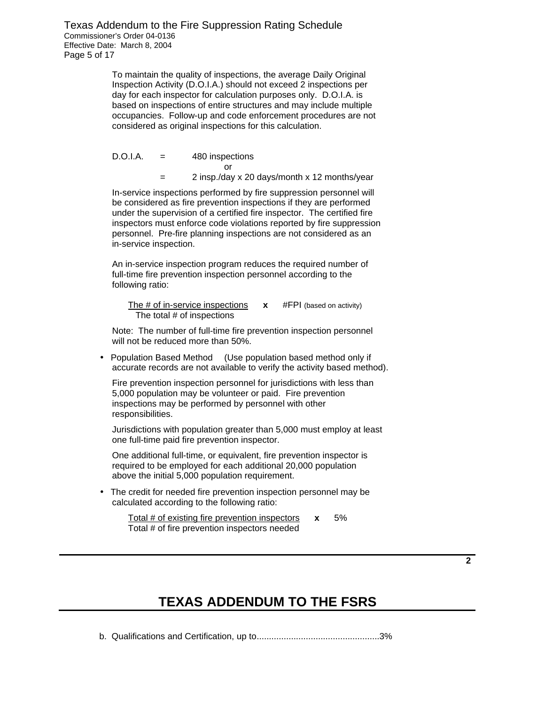Texas Addendum to the Fire Suppression Rating Schedule Commissioner's Order 04-0136 Effective Date: March 8, 2004 Page 5 of 17

> To maintain the quality of inspections, the average Daily Original Inspection Activity (D.O.I.A.) should not exceed 2 inspections per day for each inspector for calculation purposes only. D.O.I.A. is based on inspections of entire structures and may include multiple occupancies. Follow-up and code enforcement procedures are not considered as original inspections for this calculation.

 $D.O.I.A.$  $=$  480 inspections or = 2 insp./day x 20 days/month x 12 months/year

In-service inspections performed by fire suppression personnel will be considered as fire prevention inspections if they are performed under the supervision of a certified fire inspector. The certified fire inspectors must enforce code violations reported by fire suppression personnel. Pre-fire planning inspections are not considered as an in-service inspection.

An in-service inspection program reduces the required number of full-time fire prevention inspection personnel according to the following ratio:

 The # of in-service inspections **x** #FPI (based on activity) The total # of inspections

Note: The number of full-time fire prevention inspection personnel will not be reduced more than 50%.

• Population Based Method (Use population based method only if accurate records are not available to verify the activity based method).

Fire prevention inspection personnel for jurisdictions with less than 5,000 population may be volunteer or paid. Fire prevention inspections may be performed by personnel with other responsibilities.

Jurisdictions with population greater than 5,000 must employ at least one full-time paid fire prevention inspector.

One additional full-time, or equivalent, fire prevention inspector is required to be employed for each additional 20,000 population above the initial 5,000 population requirement.

• The credit for needed fire prevention inspection personnel may be calculated according to the following ratio:

> Total # of existing fire prevention inspectors **x** 5% Total # of fire prevention inspectors needed

> > **TEXAS ADDENDUM TO THE FSRS**

b. Qualifications and Certification, up to..................................................3%

**2**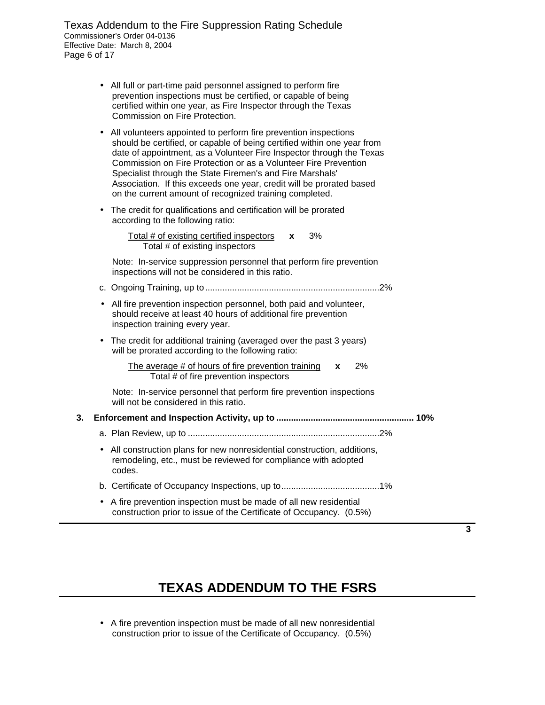Texas Addendum to the Fire Suppression Rating Schedule Commissioner's Order 04-0136 Effective Date: March 8, 2004 Page 6 of 17

- All full or part-time paid personnel assigned to perform fire prevention inspections must be certified, or capable of being certified within one year, as Fire Inspector through the Texas Commission on Fire Protection.
- All volunteers appointed to perform fire prevention inspections should be certified, or capable of being certified within one year from date of appointment, as a Volunteer Fire Inspector through the Texas Commission on Fire Protection or as a Volunteer Fire Prevention Specialist through the State Firemen's and Fire Marshals' Association. If this exceeds one year, credit will be prorated based on the current amount of recognized training completed.
- The credit for qualifications and certification will be prorated according to the following ratio:

Total # of existing certified inspectors **x** 3% Total # of existing inspectors

Note: In-service suppression personnel that perform fire prevention inspections will not be considered in this ratio.

- c. Ongoing Training, up to.......................................................................2%
- All fire prevention inspection personnel, both paid and volunteer, should receive at least 40 hours of additional fire prevention inspection training every year.
- The credit for additional training (averaged over the past 3 years) will be prorated according to the following ratio:
	- The average # of hours of fire prevention training **x** 2% Total # of fire prevention inspectors

Note: In-service personnel that perform fire prevention inspections will not be considered in this ratio.

#### **3. Enforcement and Inspection Activity, up to ........................................................ 10%**

- a. Plan Review, up to ..............................................................................2%
- All construction plans for new nonresidential construction, additions, remodeling, etc., must be reviewed for compliance with adopted codes.
- b. Certificate of Occupancy Inspections, up to........................................1%
- A fire prevention inspection must be made of all new residential construction prior to issue of the Certificate of Occupancy. (0.5%)

**3** 

# **TEXAS ADDENDUM TO THE FSRS**

• A fire prevention inspection must be made of all new nonresidential construction prior to issue of the Certificate of Occupancy. (0.5%)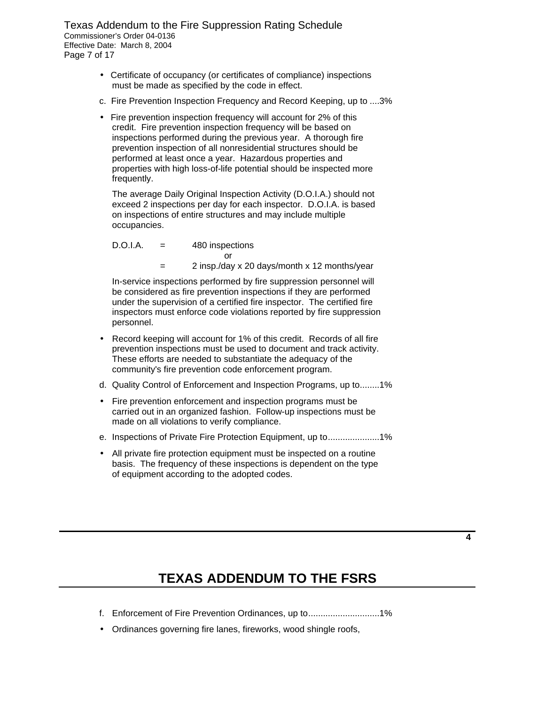Texas Addendum to the Fire Suppression Rating Schedule Commissioner's Order 04-0136 Effective Date: March 8, 2004 Page 7 of 17

- Certificate of occupancy (or certificates of compliance) inspections must be made as specified by the code in effect.
- c. Fire Prevention Inspection Frequency and Record Keeping, up to ....3%
- Fire prevention inspection frequency will account for 2% of this credit. Fire prevention inspection frequency will be based on inspections performed during the previous year. A thorough fire prevention inspection of all nonresidential structures should be performed at least once a year. Hazardous properties and properties with high loss-of-life potential should be inspected more frequently.

The average Daily Original Inspection Activity (D.O.I.A.) should not exceed 2 inspections per day for each inspector. D.O.I.A. is based on inspections of entire structures and may include multiple occupancies.

D.O.I.A. = 480 inspections or = 2 insp./day x 20 days/month x 12 months/year

In-service inspections performed by fire suppression personnel will be considered as fire prevention inspections if they are performed under the supervision of a certified fire inspector. The certified fire inspectors must enforce code violations reported by fire suppression personnel.

- Record keeping will account for 1% of this credit. Records of all fire prevention inspections must be used to document and track activity. These efforts are needed to substantiate the adequacy of the community's fire prevention code enforcement program.
- d. Quality Control of Enforcement and Inspection Programs, up to........1%
- Fire prevention enforcement and inspection programs must be carried out in an organized fashion. Follow-up inspections must be made on all violations to verify compliance.
- e. Inspections of Private Fire Protection Equipment, up to......................1%
- All private fire protection equipment must be inspected on a routine basis. The frequency of these inspections is dependent on the type of equipment according to the adopted codes.

**4** 

- f. Enforcement of Fire Prevention Ordinances, up to.............................1%
- Ordinances governing fire lanes, fireworks, wood shingle roofs,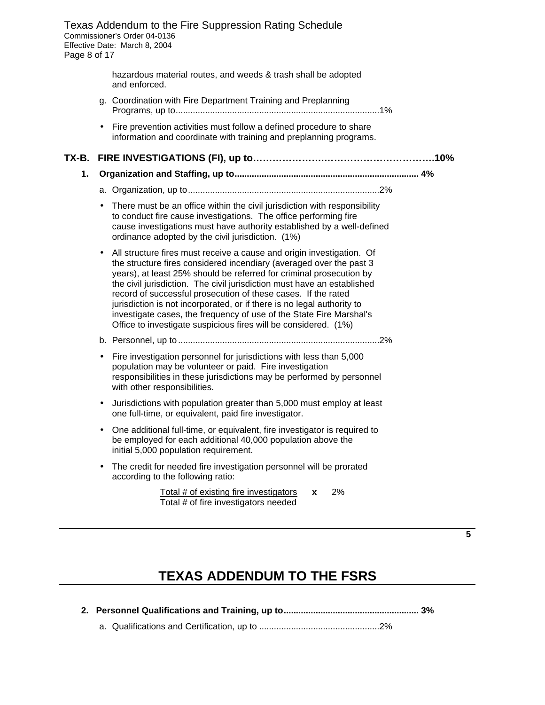Texas Addendum to the Fire Suppression Rating Schedule Commissioner's Order 04-0136 Effective Date: March 8, 2004 Page 8 of 17 hazardous material routes, and weeds & trash shall be adopted and enforced. g. Coordination with Fire Department Training and Preplanning Programs, up to...................................................................................1% • Fire prevention activities must follow a defined procedure to share information and coordinate with training and preplanning programs. **TX-B. FIRE INVESTIGATIONS (FI), up to………………….…………………………….10% 1. Organization and Staffing, up to........................................................................... 4%** a. Organization, up to..............................................................................2% • There must be an office within the civil jurisdiction with responsibility to conduct fire cause investigations. The office performing fire cause investigations must have authority established by a well-defined ordinance adopted by the civil jurisdiction. (1%) • All structure fires must receive a cause and origin investigation. Of the structure fires considered incendiary (averaged over the past 3 years), at least 25% should be referred for criminal prosecution by the civil jurisdiction. The civil jurisdiction must have an established record of successful prosecution of these cases. If the rated jurisdiction is not incorporated, or if there is no legal authority to investigate cases, the frequency of use of the State Fire Marshal's Office to investigate suspicious fires will be considered. (1%) b. Personnel, up to ..................................................................................2% Fire investigation personnel for jurisdictions with less than 5,000 population may be volunteer or paid. Fire investigation responsibilities in these jurisdictions may be performed by personnel with other responsibilities. • Jurisdictions with population greater than 5,000 must employ at least one full-time, or equivalent, paid fire investigator. • One additional full-time, or equivalent, fire investigator is required to be employed for each additional 40,000 population above the initial 5,000 population requirement. • The credit for needed fire investigation personnel will be prorated according to the following ratio: Total # of existing fire investigators **x** 2% Total # of fire investigators needed

**5** 

# **TEXAS ADDENDUM TO THE FSRS**

 **2. Personnel Qualifications and Training, up to....................................................... 3%**

a. Qualifications and Certification, up to .................................................2%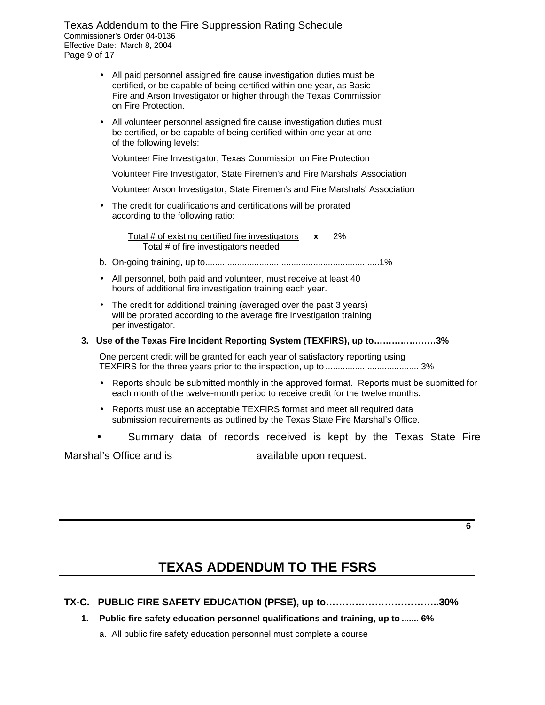Texas Addendum to the Fire Suppression Rating Schedule Commissioner's Order 04-0136 Effective Date: March 8, 2004 Page 9 of 17

- All paid personnel assigned fire cause investigation duties must be certified, or be capable of being certified within one year, as Basic Fire and Arson Investigator or higher through the Texas Commission on Fire Protection.
- All volunteer personnel assigned fire cause investigation duties must be certified, or be capable of being certified within one year at one of the following levels:

Volunteer Fire Investigator, Texas Commission on Fire Protection

Volunteer Fire Investigator, State Firemen's and Fire Marshals' Association

Volunteer Arson Investigator, State Firemen's and Fire Marshals' Association

• The credit for qualifications and certifications will be prorated according to the following ratio:

> Total # of existing certified fire investigators **x** 2% Total # of fire investigators needed

- b. On-going training, up to.......................................................................1%
- All personnel, both paid and volunteer, must receive at least 40 hours of additional fire investigation training each year.
- The credit for additional training (averaged over the past 3 years) will be prorated according to the average fire investigation training per investigator.
- **3. Use of the Texas Fire Incident Reporting System (TEXFIRS), up to…………………3%**

One percent credit will be granted for each year of satisfactory reporting using TEXFIRS for the three years prior to the inspection, up to ...................................... 3%

- Reports should be submitted monthly in the approved format. Reports must be submitted for each month of the twelve-month period to receive credit for the twelve months.
- Reports must use an acceptable TEXFIRS format and meet all required data submission requirements as outlined by the Texas State Fire Marshal's Office.
- Summary data of records received is kept by the Texas State Fire

Marshal's Office and is available upon request.

**6** 

### **TEXAS ADDENDUM TO THE FSRS**

- **TX-C. PUBLIC FIRE SAFETY EDUCATION (PFSE), up to……………………………..30%**
	- **1. Public fire safety education personnel qualifications and training, up to ....... 6%**

a. All public fire safety education personnel must complete a course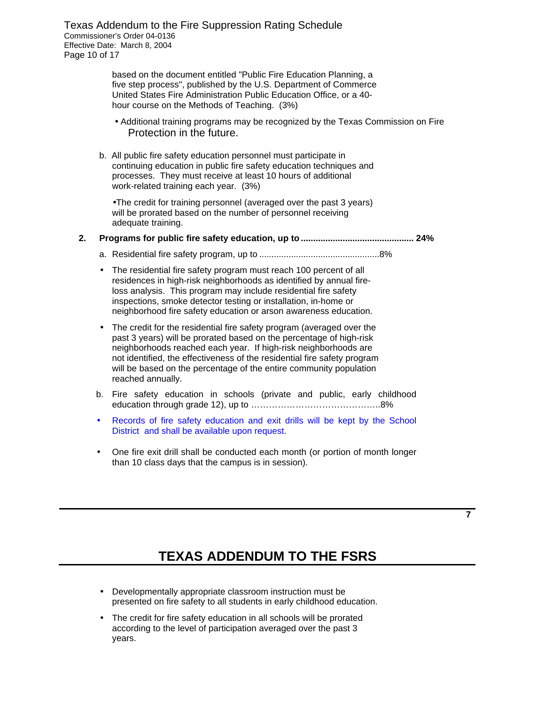Texas Addendum to the Fire Suppression Rating Schedule Commissioner's Order 04-0136 Effective Date: March 8, 2004 Page 10 of 17

> based on the document entitled "Public Fire Education Planning, a five step process", published by the U.S. Department of Commerce United States Fire Administration Public Education Office, or a 40 hour course on the Methods of Teaching. (3%)

- Additional training programs may be recognized by the Texas Commission on Fire Protection in the future.
- b. All public fire safety education personnel must participate in continuing education in public fire safety education techniques and processes. They must receive at least 10 hours of additional work-related training each year. (3%)

•The credit for training personnel (averaged over the past 3 years) will be prorated based on the number of personnel receiving adequate training.

#### **2. Programs for public fire safety education, up to .............................................. 24%**

- a. Residential fire safety program, up to .................................................8%
- The residential fire safety program must reach 100 percent of all residences in high-risk neighborhoods as identified by annual fireloss analysis. This program may include residential fire safety inspections, smoke detector testing or installation, in-home or neighborhood fire safety education or arson awareness education.
- The credit for the residential fire safety program (averaged over the past 3 years) will be prorated based on the percentage of high-risk neighborhoods reached each year. If high-risk neighborhoods are not identified, the effectiveness of the residential fire safety program will be based on the percentage of the entire community population reached annually.
- b. Fire safety education in schools (private and public, early childhood education through grade 12), up to ……………………………………..8%
- Records of fire safety education and exit drills will be kept by the School District and shall be available upon request.
- One fire exit drill shall be conducted each month (or portion of month longer than 10 class days that the campus is in session).

**7** 

- Developmentally appropriate classroom instruction must be presented on fire safety to all students in early childhood education.
- The credit for fire safety education in all schools will be prorated according to the level of participation averaged over the past 3 years.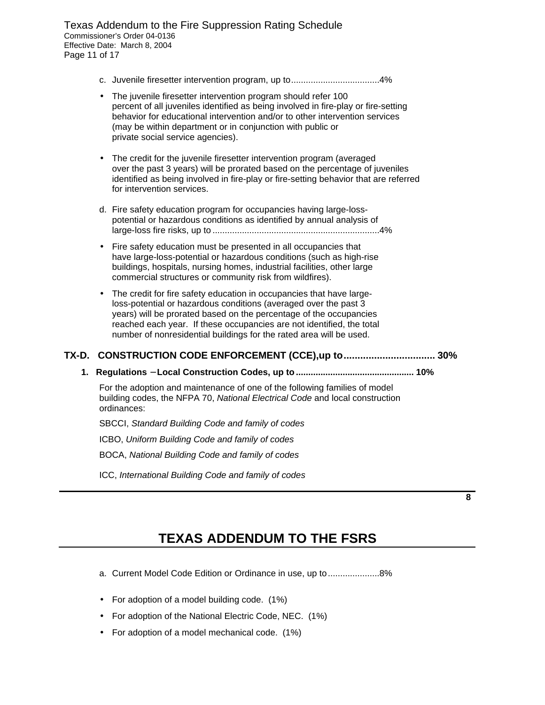Texas Addendum to the Fire Suppression Rating Schedule Commissioner's Order 04-0136 Effective Date: March 8, 2004 Page 11 of 17

- c. Juvenile firesetter intervention program, up to....................................4%
- The juvenile firesetter intervention program should refer 100 percent of all juveniles identified as being involved in fire-play or fire-setting behavior for educational intervention and/or to other intervention services (may be within department or in conjunction with public or private social service agencies).
- The credit for the juvenile firesetter intervention program (averaged over the past 3 years) will be prorated based on the percentage of juveniles identified as being involved in fire-play or fire-setting behavior that are referred for intervention services.
- d. Fire safety education program for occupancies having large-losspotential or hazardous conditions as identified by annual analysis of large-loss fire risks, up to ....................................................................4%
- Fire safety education must be presented in all occupancies that have large-loss-potential or hazardous conditions (such as high-rise buildings, hospitals, nursing homes, industrial facilities, other large commercial structures or community risk from wildfires).
- The credit for fire safety education in occupancies that have largeloss-potential or hazardous conditions (averaged over the past 3 years) will be prorated based on the percentage of the occupancies reached each year. If these occupancies are not identified, the total number of nonresidential buildings for the rated area will be used.

#### **TX-D. CONSTRUCTION CODE ENFORCEMENT (CCE),up to................................. 30%**

 **1. Regulations - Local Construction Codes, up to ................................................ 10%**

For the adoption and maintenance of one of the following families of model building codes, the NFPA 70, *National Electrical Code* and local construction ordinances:

SBCCI, *Standard Building Code and family of codes* 

ICBO, *Uniform Building Code and family of codes* 

BOCA, *National Building Code and family of codes* 

ICC, *International Building Code and family of codes* 

**8** 

- a. Current Model Code Edition or Ordinance in use, up to........................8%
- For adoption of a model building code. (1%)
- For adoption of the National Electric Code, NEC. (1%)
- For adoption of a model mechanical code. (1%)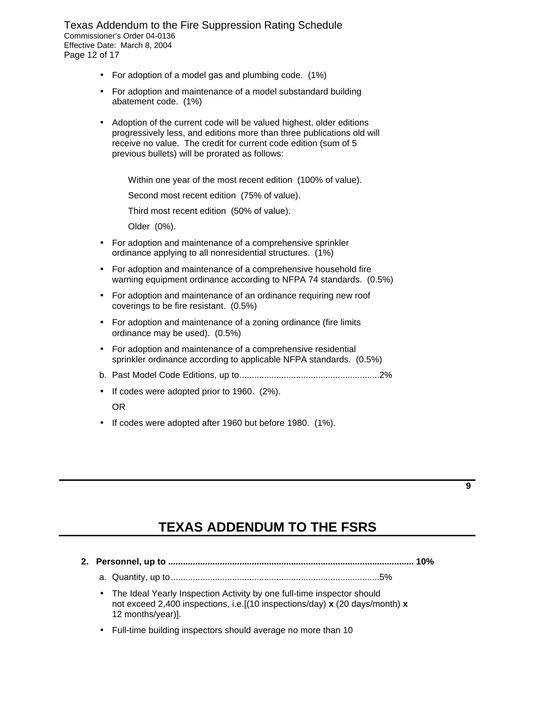Texas Addendum to the Fire Suppression Rating Schedule Commissioner's Order 04-0136 Effective Date: March 8, 2004 Page 12 of 17

- For adoption of a model gas and plumbing code. (1%)
- For adoption and maintenance of a model substandard building abatement code. (1%)
- Adoption of the current code will be valued highest, older editions progressively less, and editions more than three publications old will receive no value. The credit for current code edition (sum of 5 previous bullets) will be prorated as follows:

Within one year of the most recent edition (100% of value).

Second most recent edition (75% of value).

Third most recent edition (50% of value).

Older (0%).

- For adoption and maintenance of a comprehensive sprinkler ordinance applying to all nonresidential structures. (1%)
- For adoption and maintenance of a comprehensive household fire warning equipment ordinance according to NFPA 74 standards. (0.5%)
- For adoption and maintenance of an ordinance requiring new roof coverings to be fire resistant. (0.5%)
- For adoption and maintenance of a zoning ordinance (fire limits ordinance may be used). (0.5%)
- For adoption and maintenance of a comprehensive residential sprinkler ordinance according to applicable NFPA standards. (0.5%)
- b. Past Model Code Editions, up to.........................................................2%
- • If codes were adopted prior to 1960. (2%).

#### OR

• If codes were adopted after 1960 but before 1980. (1%).

### **TEXAS ADDENDUM TO THE FSRS**

**9** 

 **2. Personnel, up to .................................................................................................... 10%**

a. Quantity, up to.....................................................................................5%

- The Ideal Yearly Inspection Activity by one full-time inspector should not exceed 2,400 inspections, i.e.[(10 inspections/day) **x** (20 days/month) **x**  12 months/year)].
- Full-time building inspectors should average no more than 10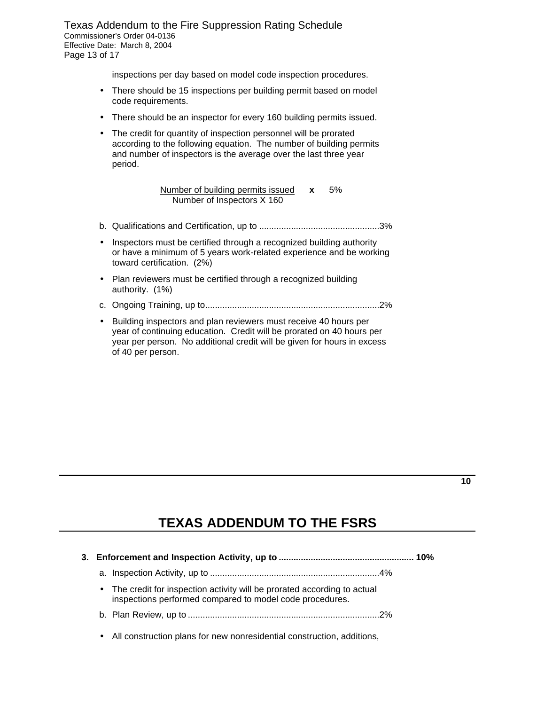Texas Addendum to the Fire Suppression Rating Schedule Commissioner's Order 04-0136 Effective Date: March 8, 2004 Page 13 of 17

inspections per day based on model code inspection procedures.

- There should be 15 inspections per building permit based on model code requirements.
- There should be an inspector for every 160 building permits issued.
- The credit for quantity of inspection personnel will be prorated according to the following equation. The number of building permits and number of inspectors is the average over the last three year period.

Number of building permits issued **x** 5% Number of Inspectors X 160

- b. Qualifications and Certification, up to .................................................3%
- Inspectors must be certified through a recognized building authority or have a minimum of 5 years work-related experience and be working toward certification. (2%)
- Plan reviewers must be certified through a recognized building authority. (1%)
- c. Ongoing Training, up to.......................................................................2%
- Building inspectors and plan reviewers must receive 40 hours per year of continuing education. Credit will be prorated on 40 hours per year per person. No additional credit will be given for hours in excess of 40 per person.

# **TEXAS ADDENDUM TO THE FSRS**

|  | • The credit for inspection activity will be prorated according to actual<br>inspections performed compared to model code procedures. |  |
|--|---------------------------------------------------------------------------------------------------------------------------------------|--|
|  |                                                                                                                                       |  |
|  |                                                                                                                                       |  |

• All construction plans for new nonresidential construction, additions,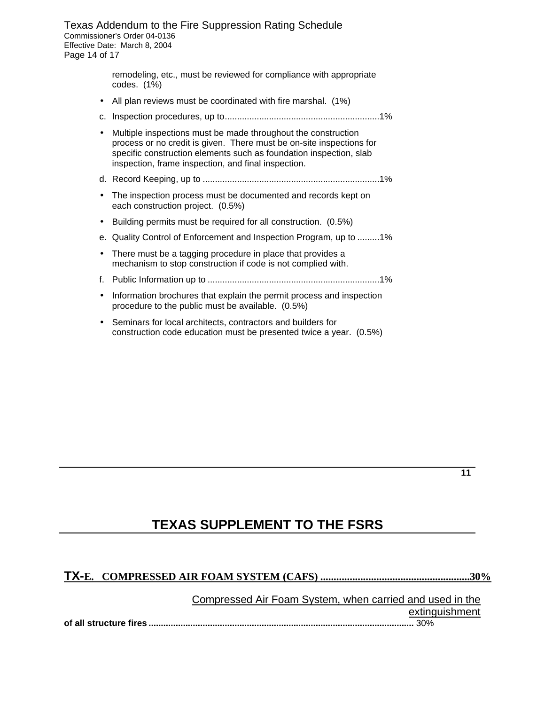Texas Addendum to the Fire Suppression Rating Schedule Commissioner's Order 04-0136 Effective Date: March 8, 2004 Page 14 of 17

> remodeling, etc., must be reviewed for compliance with appropriate codes. (1%)

- All plan reviews must be coordinated with fire marshal. (1%)
- c. Inspection procedures, up to...............................................................1%
- Multiple inspections must be made throughout the construction process or no credit is given. There must be on-site inspections for specific construction elements such as foundation inspection, slab inspection, frame inspection, and final inspection.
- d. Record Keeping, up to ........................................................................1%
- The inspection process must be documented and records kept on each construction project. (0.5%)
- Building permits must be required for all construction. (0.5%)
- e. Quality Control of Enforcement and Inspection Program, up to .........1%
- There must be a tagging procedure in place that provides a mechanism to stop construction if code is not complied with.
- f. Public Information up to ......................................................................1%
- Information brochures that explain the permit process and inspection procedure to the public must be available. (0.5%)
- Seminars for local architects, contractors and builders for construction code education must be presented twice a year. (0.5%)

#### **TEXAS SUPPLEMENT TO THE FSRS**

#### **TX-E. COMPRESSED AIR FOAM SYSTEM (CAFS) ........................................................30%**

Compressed Air Foam System, when carried and used in the extinguishment **of all structure fires ............................................................................................................** 30%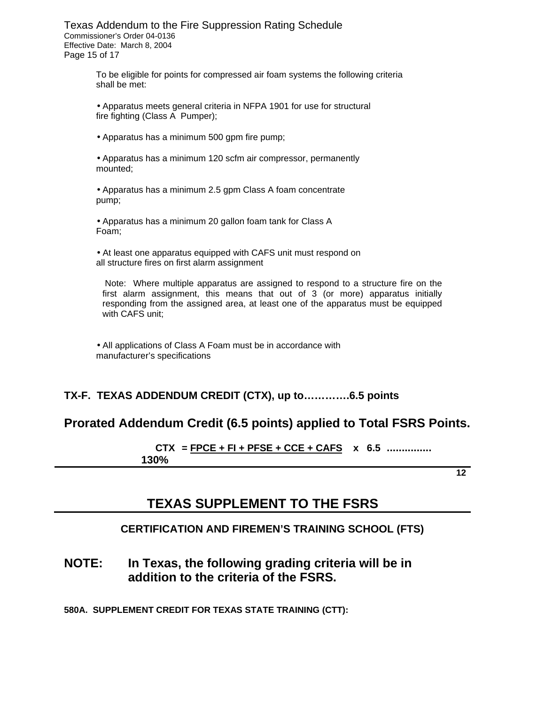Texas Addendum to the Fire Suppression Rating Schedule Commissioner's Order 04-0136 Effective Date: March 8, 2004 Page 15 of 17

> To be eligible for points for compressed air foam systems the following criteria shall be met:

• Apparatus meets general criteria in NFPA 1901 for use for structural fire fighting (Class A Pumper);

• Apparatus has a minimum 500 gpm fire pump;

• Apparatus has a minimum 120 scfm air compressor, permanently mounted;

• Apparatus has a minimum 2.5 gpm Class A foam concentrate pump;

• Apparatus has a minimum 20 gallon foam tank for Class A Foam;

• At least one apparatus equipped with CAFS unit must respond on all structure fires on first alarm assignment

 Note: Where multiple apparatus are assigned to respond to a structure fire on the first alarm assignment, this means that out of 3 (or more) apparatus initially responding from the assigned area, at least one of the apparatus must be equipped with CAFS unit;

• All applications of Class A Foam must be in accordance with manufacturer's specifications

#### **TX-F. TEXAS ADDENDUM CREDIT (CTX), up to………….6.5 points**

#### **Prorated Addendum Credit (6.5 points) applied to Total FSRS Points.**

 $\text{CTX} = \text{FPCE} + \text{FI} + \text{PFSE} + \text{CCE} + \text{CAFS}$  x 6.5 ................  **130%** 

**12** 

#### **TEXAS SUPPLEMENT TO THE FSRS**

#### **CERTIFICATION AND FIREMEN'S TRAINING SCHOOL (FTS)**

**NOTE: In Texas, the following grading criteria will be in addition to the criteria of the FSRS.** 

**580A. SUPPLEMENT CREDIT FOR TEXAS STATE TRAINING (CTT):**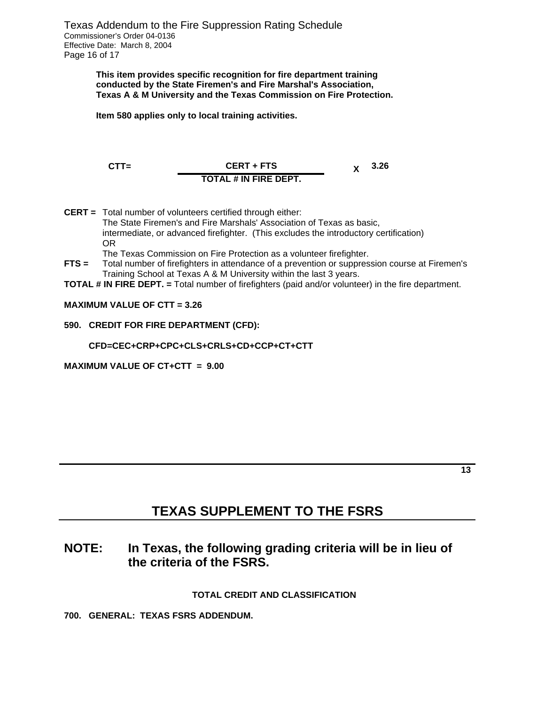**This item provides specific recognition for fire department training conducted by the State Firemen's and Fire Marshal's Association, Texas A & M University and the Texas Commission on Fire Protection.** 

**Item 580 applies only to local training activities.**

**CTT= CERT + FTS X** 3.26 **TOTAL # IN FIRE DEPT.** 

**CERT =** Total number of volunteers certified through either: The State Firemen's and Fire Marshals' Association of Texas as basic, intermediate, or advanced firefighter. (This excludes the introductory certification) OR

The Texas Commission on Fire Protection as a volunteer firefighter.

- **FTS =** Total number of firefighters in attendance of a prevention or suppression course at Firemen's Training School at Texas A & M University within the last 3 years.
- **TOTAL # IN FIRE DEPT. =** Total number of firefighters (paid and/or volunteer) in the fire department.

#### **MAXIMUM VALUE OF CTT = 3.26**

#### **590. CREDIT FOR FIRE DEPARTMENT (CFD):**

#### **CFD=CEC+CRP+CPC+CLS+CRLS+CD+CCP+CT+CTT**

**MAXIMUM VALUE OF CT+CTT = 9.00** 

### **TEXAS SUPPLEMENT TO THE FSRS**

#### **NOTE: In Texas, the following grading criteria will be in lieu of the criteria of the FSRS.**

#### **TOTAL CREDIT AND CLASSIFICATION**

**700. GENERAL: TEXAS FSRS ADDENDUM.**